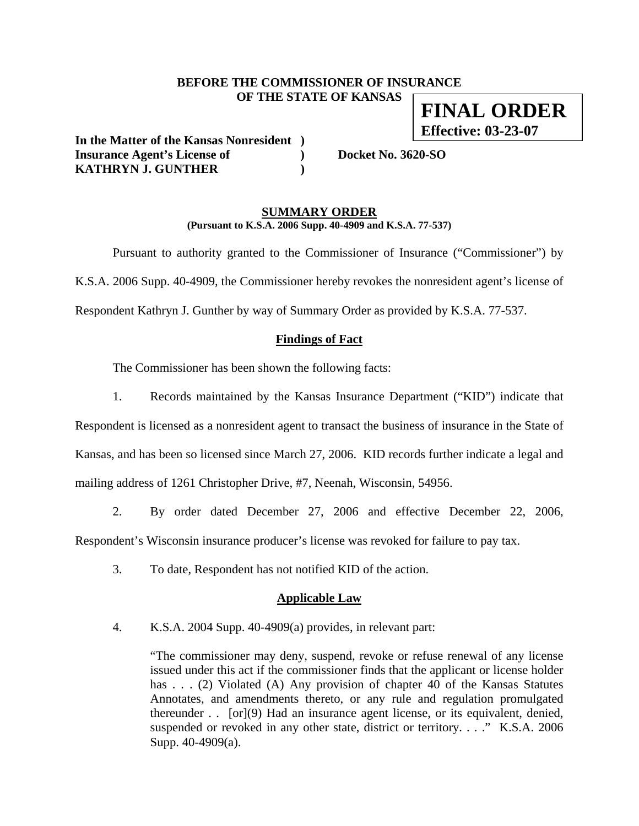### **BEFORE THE COMMISSIONER OF INSURANCE OF THE STATE OF KANSAS FINAL ORDER**

**In the Matter of the Kansas Nonresident ) Insurance Agent's License of ) Docket No. 3620-SO KATHRYN J. GUNTHER )** 

**Effective: 03-23-07**

#### **SUMMARY ORDER (Pursuant to K.S.A. 2006 Supp. 40-4909 and K.S.A. 77-537)**

 Pursuant to authority granted to the Commissioner of Insurance ("Commissioner") by K.S.A. 2006 Supp. 40-4909, the Commissioner hereby revokes the nonresident agent's license of Respondent Kathryn J. Gunther by way of Summary Order as provided by K.S.A. 77-537.

### **Findings of Fact**

The Commissioner has been shown the following facts:

1. Records maintained by the Kansas Insurance Department ("KID") indicate that

Respondent is licensed as a nonresident agent to transact the business of insurance in the State of Kansas, and has been so licensed since March 27, 2006. KID records further indicate a legal and mailing address of 1261 Christopher Drive, #7, Neenah, Wisconsin, 54956.

2. By order dated December 27, 2006 and effective December 22, 2006,

Respondent's Wisconsin insurance producer's license was revoked for failure to pay tax.

3. To date, Respondent has not notified KID of the action.

#### **Applicable Law**

4. K.S.A. 2004 Supp. 40-4909(a) provides, in relevant part:

"The commissioner may deny, suspend, revoke or refuse renewal of any license issued under this act if the commissioner finds that the applicant or license holder has . . . (2) Violated (A) Any provision of chapter 40 of the Kansas Statutes Annotates, and amendments thereto, or any rule and regulation promulgated thereunder . . [or](9) Had an insurance agent license, or its equivalent, denied, suspended or revoked in any other state, district or territory. . . . " K.S.A. 2006 Supp. 40-4909(a).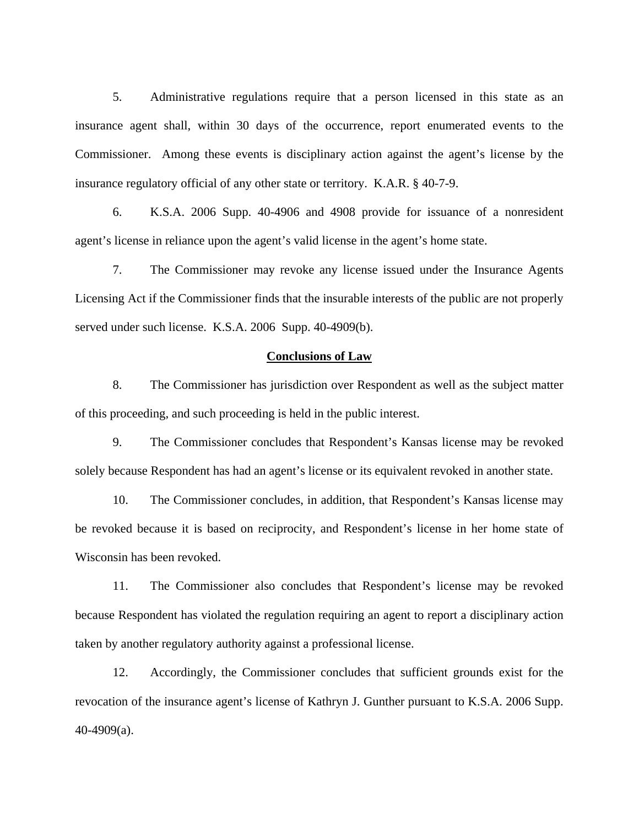5. Administrative regulations require that a person licensed in this state as an insurance agent shall, within 30 days of the occurrence, report enumerated events to the Commissioner. Among these events is disciplinary action against the agent's license by the insurance regulatory official of any other state or territory. K.A.R. § 40-7-9.

6. K.S.A. 2006 Supp. 40-4906 and 4908 provide for issuance of a nonresident agent's license in reliance upon the agent's valid license in the agent's home state.

7. The Commissioner may revoke any license issued under the Insurance Agents Licensing Act if the Commissioner finds that the insurable interests of the public are not properly served under such license. K.S.A. 2006 Supp. 40-4909(b).

#### **Conclusions of Law**

8. The Commissioner has jurisdiction over Respondent as well as the subject matter of this proceeding, and such proceeding is held in the public interest.

9. The Commissioner concludes that Respondent's Kansas license may be revoked solely because Respondent has had an agent's license or its equivalent revoked in another state.

10. The Commissioner concludes, in addition, that Respondent's Kansas license may be revoked because it is based on reciprocity, and Respondent's license in her home state of Wisconsin has been revoked.

11. The Commissioner also concludes that Respondent's license may be revoked because Respondent has violated the regulation requiring an agent to report a disciplinary action taken by another regulatory authority against a professional license.

12. Accordingly, the Commissioner concludes that sufficient grounds exist for the revocation of the insurance agent's license of Kathryn J. Gunther pursuant to K.S.A. 2006 Supp. 40-4909(a).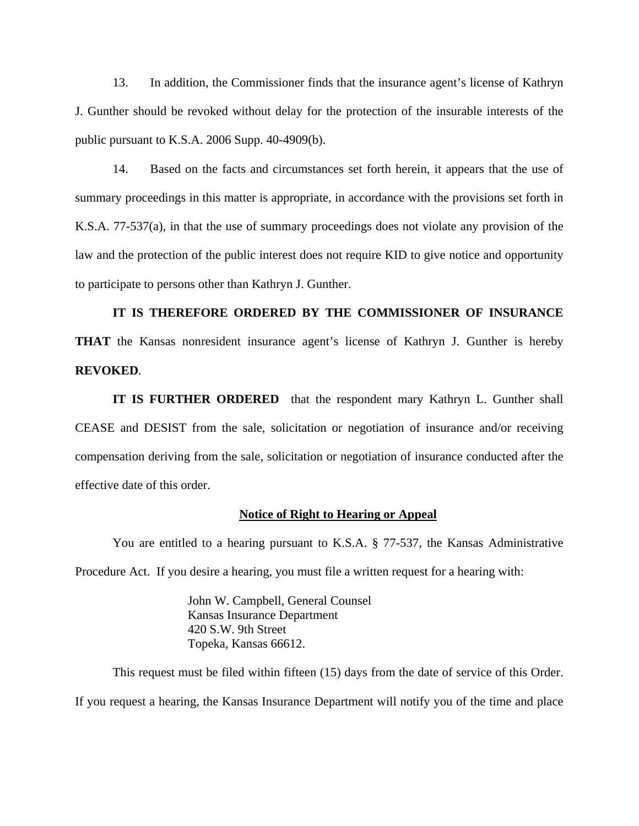13. In addition, the Commissioner finds that the insurance agent's license of Kathryn J. Gunther should be revoked without delay for the protection of the insurable interests of the public pursuant to K.S.A. 2006 Supp. 40-4909(b).

14. Based on the facts and circumstances set forth herein, it appears that the use of summary proceedings in this matter is appropriate, in accordance with the provisions set forth in K.S.A. 77-537(a), in that the use of summary proceedings does not violate any provision of the law and the protection of the public interest does not require KID to give notice and opportunity to participate to persons other than Kathryn J. Gunther.

# **IT IS THEREFORE ORDERED BY THE COMMISSIONER OF INSURANCE THAT** the Kansas nonresident insurance agent's license of Kathryn J. Gunther is hereby **REVOKED**.

**IT IS FURTHER ORDERED** that the respondent mary Kathryn L. Gunther shall CEASE and DESIST from the sale, solicitation or negotiation of insurance and/or receiving compensation deriving from the sale, solicitation or negotiation of insurance conducted after the effective date of this order.

#### **Notice of Right to Hearing or Appeal**

You are entitled to a hearing pursuant to K.S.A. § 77-537, the Kansas Administrative Procedure Act. If you desire a hearing, you must file a written request for a hearing with:

> John W. Campbell, General Counsel Kansas Insurance Department 420 S.W. 9th Street Topeka, Kansas 66612.

This request must be filed within fifteen (15) days from the date of service of this Order. If you request a hearing, the Kansas Insurance Department will notify you of the time and place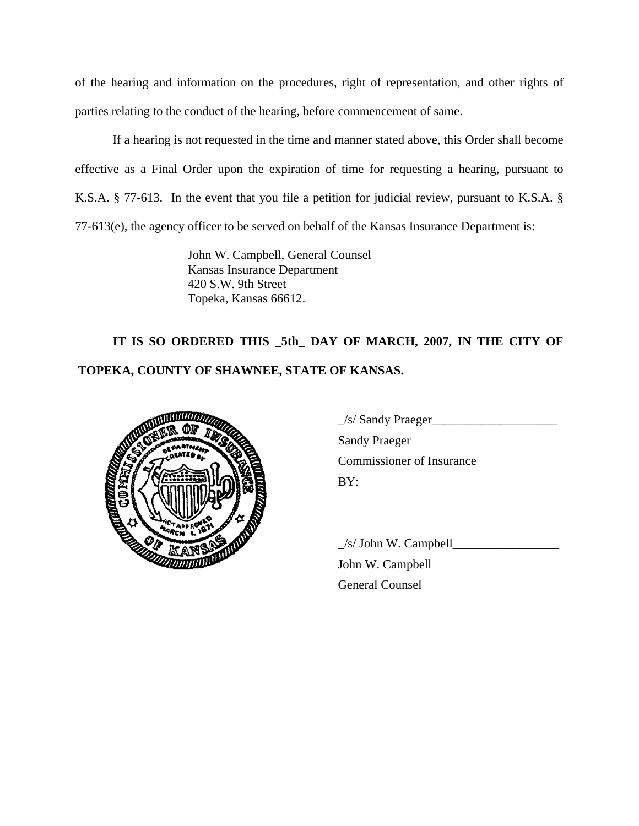of the hearing and information on the procedures, right of representation, and other rights of parties relating to the conduct of the hearing, before commencement of same.

If a hearing is not requested in the time and manner stated above, this Order shall become effective as a Final Order upon the expiration of time for requesting a hearing, pursuant to K.S.A. § 77-613. In the event that you file a petition for judicial review, pursuant to K.S.A. § 77-613(e), the agency officer to be served on behalf of the Kansas Insurance Department is:

> John W. Campbell, General Counsel Kansas Insurance Department 420 S.W. 9th Street Topeka, Kansas 66612.

# **IT IS SO ORDERED THIS \_5th\_ DAY OF MARCH, 2007, IN THE CITY OF TOPEKA, COUNTY OF SHAWNEE, STATE OF KANSAS.**



|             | $\angle$ s/ Sandy Praeger        |
|-------------|----------------------------------|
|             | <b>Sandy Praeger</b>             |
|             | <b>Commissioner of Insurance</b> |
| ien<br>1991 | BY:                              |

 $\angle$ s/ John W. Campbell $\angle$  John W. Campbell General Counsel